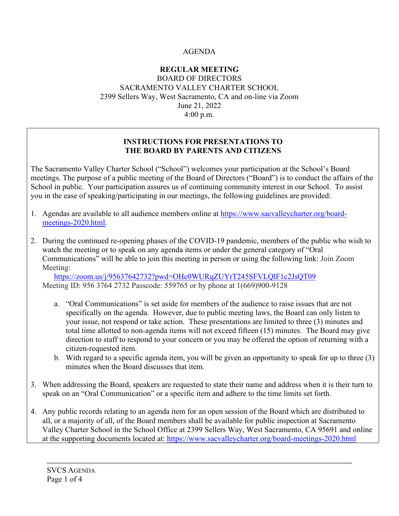#### AGENDA

#### **REGULAR MEETING**  BOARD OF DIRECTORS SACRAMENTO VALLEY CHARTER SCHOOL 2399 Sellers Way, West Sacramento, CA and on-line via Zoom June 21, 2022 4:00 p.m.

#### **INSTRUCTIONS FOR PRESENTATIONS TO THE BOARD BY PARENTS AND CITIZENS**

The Sacramento Valley Charter School ("School") welcomes your participation at the School's Board meetings. The purpose of a public meeting of the Board of Directors ("Board") is to conduct the affairs of the School in public. Your participation assures us of continuing community interest in our School. To assist you in the ease of speaking/participating in our meetings, the following guidelines are provided:

- 1. Agendas are available to all audience members online at [https://www.sacvalleycharter.org/board](about:blank)[meetings-2020.html.](about:blank)
- 2. During the continued re-opening phases of the COVID-19 pandemic, members of the public who wish to watch the meeting or to speak on any agenda items or under the general category of "Oral Communications" will be able to join this meeting in person or using the following link: Join Zoom Meeting:

<https://zoom.us/j/95637642732?pwd=OHc0WURqZUYrT245SFVLQlF1c2JsQT09> Meeting ID: 956 3764 2732 Passcode: 559765 or by phone at 1(669)900-9128

- a. "Oral Communications" is set aside for members of the audience to raise issues that are not specifically on the agenda. However, due to public meeting laws, the Board can only listen to your issue, not respond or take action. These presentations are limited to three (3) minutes and total time allotted to non-agenda items will not exceed fifteen (15) minutes. The Board may give direction to staff to respond to your concern or you may be offered the option of returning with a citizen-requested item.
- b. With regard to a specific agenda item, you will be given an opportunity to speak for up to three (3) minutes when the Board discusses that item.
- 3. When addressing the Board, speakers are requested to state their name and address when it is their turn to speak on an "Oral Communication" or a specific item and adhere to the time limits set forth.
- 4. Any public records relating to an agenda item for an open session of the Board which are distributed to all, or a majority of all, of the Board members shall be available for public inspection at Sacramento Valley Charter School in the School Office at 2399 Sellers Way, West Sacramento, CA 95691 and online at the supporting documents located at: [https://www.sacvalleycharter.org/board-meetings-2020.html](about:blank)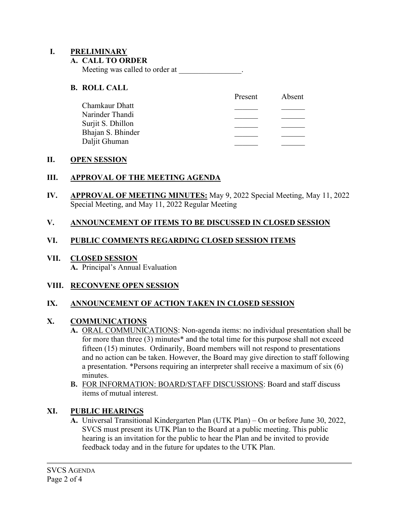#### **I. PRELIMINARY**

#### **A. CALL TO ORDER**

Meeting was called to order at \_\_\_\_\_\_\_\_\_\_\_\_\_\_.

#### **B. ROLL CALL**

|                   | Present | Absent |
|-------------------|---------|--------|
| Chamkaur Dhatt    |         |        |
| Narinder Thandi   |         |        |
| Surjit S. Dhillon |         |        |
| Bhajan S. Bhinder |         |        |
| Daljit Ghuman     |         |        |
|                   |         |        |

#### **II. OPEN SESSION**

#### **III. APPROVAL OF THE MEETING AGENDA**

**IV. APPROVAL OF MEETING MINUTES:** May 9, 2022 Special Meeting, May 11, 2022 Special Meeting, and May 11, 2022 Regular Meeting

### **V. ANNOUNCEMENT OF ITEMS TO BE DISCUSSED IN CLOSED SESSION**

### **VI. PUBLIC COMMENTS REGARDING CLOSED SESSION ITEMS**

# **VII. CLOSED SESSION**

**A.** Principal's Annual Evaluation

#### **VIII. RECONVENE OPEN SESSION**

### **IX. ANNOUNCEMENT OF ACTION TAKEN IN CLOSED SESSION**

#### **X. COMMUNICATIONS**

- **A.** ORAL COMMUNICATIONS: Non-agenda items: no individual presentation shall be for more than three (3) minutes\* and the total time for this purpose shall not exceed fifteen (15) minutes. Ordinarily, Board members will not respond to presentations and no action can be taken. However, the Board may give direction to staff following a presentation. \*Persons requiring an interpreter shall receive a maximum of six (6) minutes.
- **B.** FOR INFORMATION: BOARD/STAFF DISCUSSIONS: Board and staff discuss items of mutual interest.

### **XI. PUBLIC HEARINGS**

**A.** Universal Transitional Kindergarten Plan (UTK Plan) – On or before June 30, 2022, SVCS must present its UTK Plan to the Board at a public meeting. This public hearing is an invitation for the public to hear the Plan and be invited to provide feedback today and in the future for updates to the UTK Plan.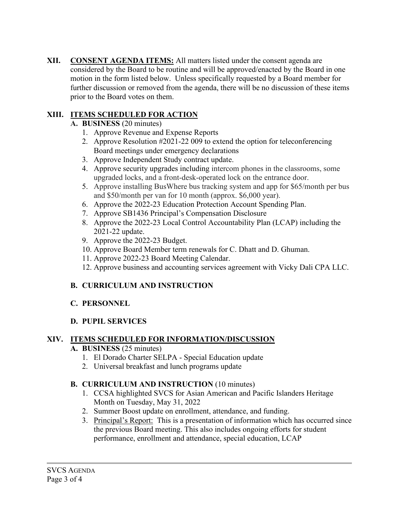**XII. CONSENT AGENDA ITEMS:** All matters listed under the consent agenda are considered by the Board to be routine and will be approved/enacted by the Board in one motion in the form listed below. Unless specifically requested by a Board member for further discussion or removed from the agenda, there will be no discussion of these items prior to the Board votes on them.

### **XIII. ITEMS SCHEDULED FOR ACTION**

- **A. BUSINESS** (20 minutes)
	- 1. Approve Revenue and Expense Reports
	- 2. Approve Resolution #2021-22 009 to extend the option for teleconferencing Board meetings under emergency declarations
	- 3. Approve Independent Study contract update.
	- 4. Approve security upgrades including intercom phones in the classrooms, some upgraded locks, and a front-desk-operated lock on the entrance door.
	- 5. Approve installing BusWhere bus tracking system and app for \$65/month per bus and \$50/month per van for 10 month (approx. \$6,000 year).
	- 6. Approve the 2022-23 Education Protection Account Spending Plan.
	- 7. Approve SB1436 Principal's Compensation Disclosure
	- 8. Approve the 2022-23 Local Control Accountability Plan (LCAP) including the 2021-22 update.
	- 9. Approve the 2022-23 Budget.
	- 10. Approve Board Member term renewals for C. Dhatt and D. Ghuman.
	- 11. Approve 2022-23 Board Meeting Calendar.
	- 12. Approve business and accounting services agreement with Vicky Dali CPA LLC.

# **B. CURRICULUM AND INSTRUCTION**

# **C. PERSONNEL**

### **D. PUPIL SERVICES**

### **XIV. ITEMS SCHEDULED FOR INFORMATION/DISCUSSION**

### **A. BUSINESS** (25 minutes)

- 1. El Dorado Charter SELPA Special Education update
- 2. Universal breakfast and lunch programs update

### **B. CURRICULUM AND INSTRUCTION** (10 minutes)

- 1. CCSA highlighted SVCS for Asian American and Pacific Islanders Heritage Month on Tuesday, May 31, 2022
- 2. Summer Boost update on enrollment, attendance, and funding.
- 3. Principal's Report: This is a presentation of information which has occurred since the previous Board meeting. This also includes ongoing efforts for student performance, enrollment and attendance, special education, LCAP